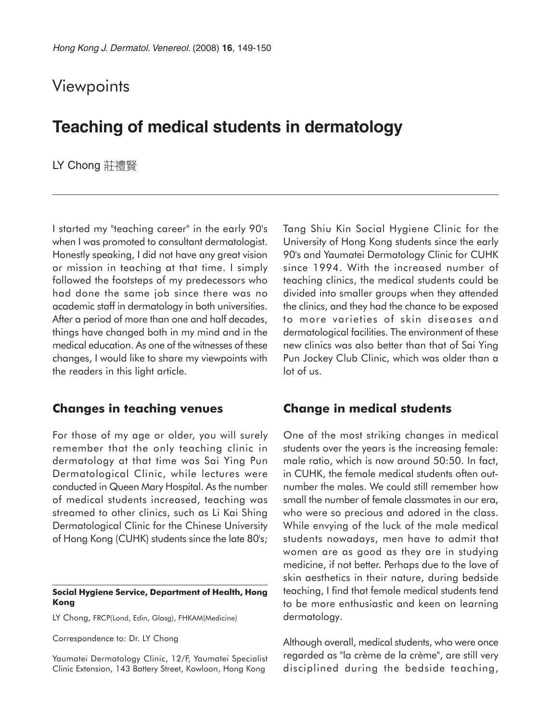# **Viewpoints**

# **Teaching of medical students in dermatology**

LY Chong 莊禮賢

I started my "teaching career" in the early 90's when I was promoted to consultant dermatologist. Honestly speaking, I did not have any great vision or mission in teaching at that time. I simply followed the footsteps of my predecessors who had done the same job since there was no academic staff in dermatology in both universities. After a period of more than one and half decades, things have changed both in my mind and in the medical education. As one of the witnesses of these changes, I would like to share my viewpoints with the readers in this light article.

### **Changes in teaching venues**

For those of my age or older, you will surely remember that the only teaching clinic in dermatology at that time was Sai Ying Pun Dermatological Clinic, while lectures were conducted in Queen Mary Hospital. As the number of medical students increased, teaching was streamed to other clinics, such as Li Kai Shing Dermatological Clinic for the Chinese University of Hong Kong (CUHK) students since the late 80's;

#### **Social Hygiene Service, Department of Health, Hong Kong**

LY Chong, FRCP(Lond, Edin, Glasg), FHKAM(Medicine)

Correspondence to: Dr. LY Chong

Yaumatei Dermatology Clinic, 12/F, Yaumatei Specialist Clinic Extension, 143 Battery Street, Kowloon, Hong Kong

Tang Shiu Kin Social Hygiene Clinic for the University of Hong Kong students since the early 90's and Yaumatei Dermatology Clinic for CUHK since 1994. With the increased number of teaching clinics, the medical students could be divided into smaller groups when they attended the clinics, and they had the chance to be exposed to more varieties of skin diseases and dermatological facilities. The environment of these new clinics was also better than that of Sai Ying Pun Jockey Club Clinic, which was older than a lot of us.

### **Change in medical students**

One of the most striking changes in medical students over the years is the increasing female: male ratio, which is now around 50:50. In fact, in CUHK, the female medical students often outnumber the males. We could still remember how small the number of female classmates in our era, who were so precious and adored in the class. While envying of the luck of the male medical students nowadays, men have to admit that women are as good as they are in studying medicine, if not better. Perhaps due to the love of skin aesthetics in their nature, during bedside teaching, I find that female medical students tend to be more enthusiastic and keen on learning dermatology.

Although overall, medical students, who were once regarded as "la crème de la crème", are still very disciplined during the bedside teaching,